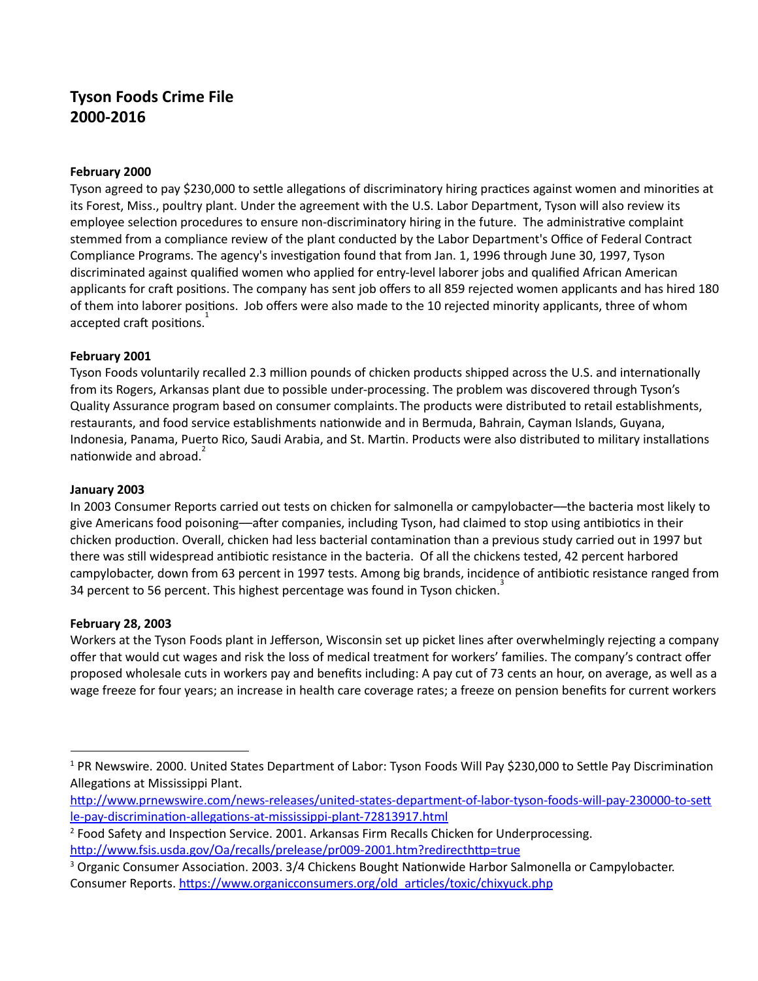# **Tyson Foods Crime File 2000‐2016**

#### **February 2000**

Tyson agreed to pay \$230,000 to settle allegations of discriminatory hiring practices against women and minorities at its Forest, Miss., poultry plant. Under the agreement with the U.S. Labor Department, Tyson will also review its employee selection procedures to ensure non-discriminatory hiring in the future. The administrative complaint stemmed from a compliance review of the plant conducted by the Labor Department's Office of Federal Contract Compliance Programs. The agency's investigation found that from Jan. 1, 1996 through June 30, 1997, Tyson discriminated against qualified women who applied for entry‐level laborer jobs and qualified African American applicants for craft positions. The company has sent job offers to all 859 rejected women applicants and has hired 180 of them into laborer positions. Job offers were also made to the 10 rejected minority applicants, three of whom accepted craft positions.<sup>1</sup>

#### **February 2001**

Tyson Foods voluntarily recalled 2.3 million pounds of chicken products shipped across the U.S. and internationally from its Rogers, Arkansas plant due to possible under‐processing. The problem was discovered through Tyson's Quality Assurance program based on consumer complaints. The products were distributed to retail establishments, restaurants, and food service establishments nationwide and in Bermuda, Bahrain, Cayman Islands, Guyana, Indonesia, Panama, Puerto Rico, Saudi Arabia, and St. Martin. Products were also distributed to military installations nationwide and abroad.<sup>2</sup>

#### **January 2003**

In 2003 Consumer Reports carried out tests on chicken for salmonella or campylobacter––the bacteria most likely to give Americans food poisoning—after companies, including Tyson, had claimed to stop using antibiotics in their chicken production. Overall, chicken had less bacterial contamination than a previous study carried out in 1997 but there was still widespread antibiotic resistance in the bacteria. Of all the chickens tested, 42 percent harbored campylobacter, down from 63 percent in 1997 tests. Among big brands, incidence of antibiotic resistance ranged from 34 percent to 56 percent. This highest percentage was found in Tyson chicken.<sup>3</sup>

#### **February 28, 2003**

Workers at the Tyson Foods plant in Jefferson, Wisconsin set up picket lines after overwhelmingly rejecting a company offer that would cut wages and risk the loss of medical treatment for workers' families. The company's contract offer proposed wholesale cuts in workers pay and benefits including: A pay cut of 73 cents an hour, on average, as well as a wage freeze for four years; an increase in health care coverage rates; a freeze on pension benefits for current workers

<sup>&</sup>lt;sup>1</sup> PR Newswire. 2000. United States Department of Labor: Tyson Foods Will Pay \$230,000 to Settle Pay Discrimination Allegations at Mississippi Plant.

http://www.prnewswire.com/news-releases/united-states-department-of-labor-tyson-foods-will-pay-230000-to-sett le-pay-discrimination-allegations-at-mississippi-plant-72813917.html

<sup>&</sup>lt;sup>2</sup> Food Safety and Inspection Service. 2001. Arkansas Firm Recalls Chicken for Underprocessing. http://www.fsis.usda.gov/Oa/recalls/prelease/pr009-2001.htm?redirecthttp=true

 $3$  Organic Consumer Association. 2003.  $3/4$  Chickens Bought Nationwide Harbor Salmonella or Campylobacter. Consumer Reports. https://www.organicconsumers.org/old\_articles/toxic/chixyuck.php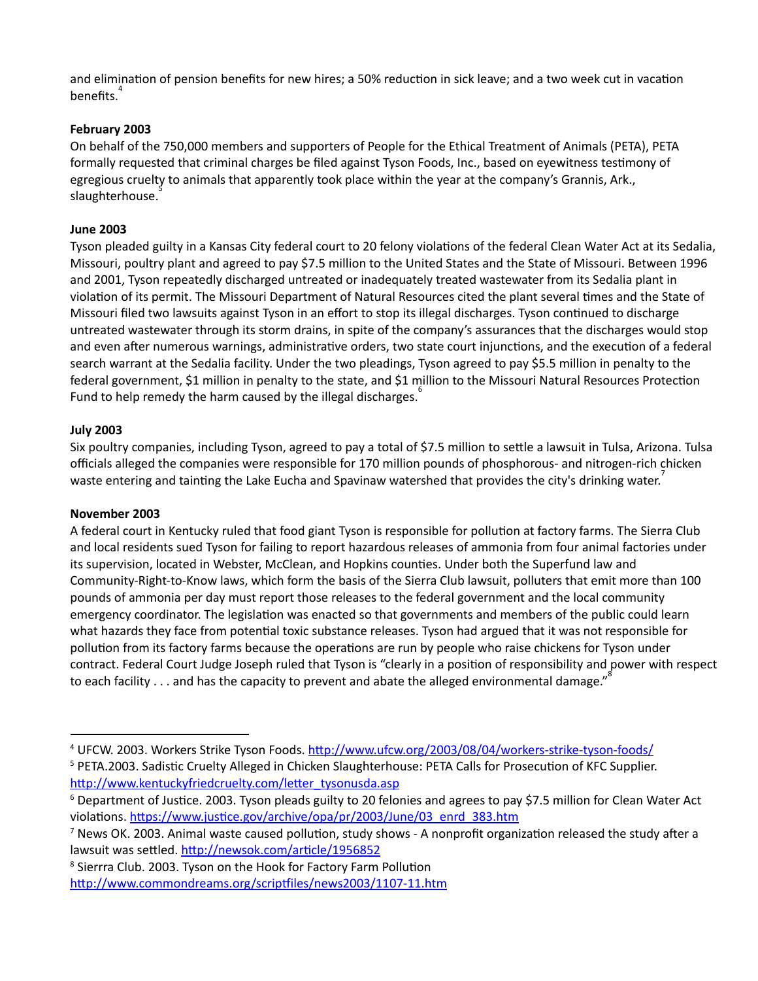and elimination of pension benefits for new hires; a 50% reduction in sick leave; and a two week cut in vacation benefits. 4

## **February 2003**

On behalf of the 750,000 members and supporters of People for the Ethical Treatment of Animals (PETA), PETA formally requested that criminal charges be filed against Tyson Foods, Inc., based on eyewitness testimony of egregious cruelty to animals that apparently took place within the year at the company's Grannis, Ark., slaughterhouse. 5

## **June 2003**

Tyson pleaded guilty in a Kansas City federal court to 20 felony violations of the federal Clean Water Act at its Sedalia, Missouri, poultry plant and agreed to pay \$7.5 million to the United States and the State of Missouri. Between 1996 and 2001, Tyson repeatedly discharged untreated or inadequately treated wastewater from its Sedalia plant in violation of its permit. The Missouri Department of Natural Resources cited the plant several times and the State of Missouri filed two lawsuits against Tyson in an effort to stop its illegal discharges. Tyson continued to discharge untreated wastewater through its storm drains, in spite of the company's assurances that the discharges would stop and even after numerous warnings, administrative orders, two state court injunctions, and the execution of a federal search warrant at the Sedalia facility. Under the two pleadings, Tyson agreed to pay \$5.5 million in penalty to the federal government, \$1 million in penalty to the state, and \$1 million to the Missouri Natural Resources Protection Fund to help remedy the harm caused by the illegal discharges. 6

## **July 2003**

Six poultry companies, including Tyson, agreed to pay a total of \$7.5 million to settle a lawsuit in Tulsa, Arizona. Tulsa officials alleged the companies were responsible for 170 million pounds of phosphorous‐ and nitrogen‐rich chicken waste entering and tainting the Lake Eucha and Spavinaw watershed that provides the city's drinking water.<sup>7</sup>

## **November 2003**

A federal court in Kentucky ruled that food giant Tyson is responsible for pollution at factory farms. The Sierra Club and local residents sued Tyson for failing to report hazardous releases of ammonia from four animal factories under its supervision, located in Webster, McClean, and Hopkins counties. Under both the Superfund law and Community‐Right‐to‐Know laws, which form the basis of the Sierra Club lawsuit, polluters that emit more than 100 pounds of ammonia per day must report those releases to the federal government and the local community emergency coordinator. The legislation was enacted so that governments and members of the public could learn what hazards they face from potential toxic substance releases. Tyson had argued that it was not responsible for pollution from its factory farms because the operations are run by people who raise chickens for Tyson under contract. Federal Court Judge Joseph ruled that Tyson is "clearly in a position of responsibility and power with respect to each facility . . . and has the capacity to prevent and abate the alleged environmental damage."<sup>8</sup>

<sup>&</sup>lt;sup>4</sup> UFCW. 2003. Workers Strike Tyson Foods. http://www.ufcw.org/2003/08/04/workers-strike-tyson-foods/

<sup>&</sup>lt;sup>5</sup> PETA.2003. Sadistic Cruelty Alleged in Chicken Slaughterhouse: PETA Calls for Prosecution of KFC Supplier. http://www.kentuckyfriedcruelty.com/letter\_tysonusda.asp

<sup>&</sup>lt;sup>6</sup> Department of Justice. 2003. Tyson pleads guilty to 20 felonies and agrees to pay \$7.5 million for Clean Water Act violations. https://www.justice.gov/archive/opa/pr/2003/June/03\_enrd\_383.htm

<sup>&</sup>lt;sup>7</sup> News OK. 2003. Animal waste caused pollution, study shows - A nonprofit organization released the study after a lawsuit was settled. http://newsok.com/article/1956852

<sup>&</sup>lt;sup>8</sup> Sierrra Club. 2003. Tyson on the Hook for Factory Farm Pollution http://www.commondreams.org/scriptfiles/news2003/1107-11.htm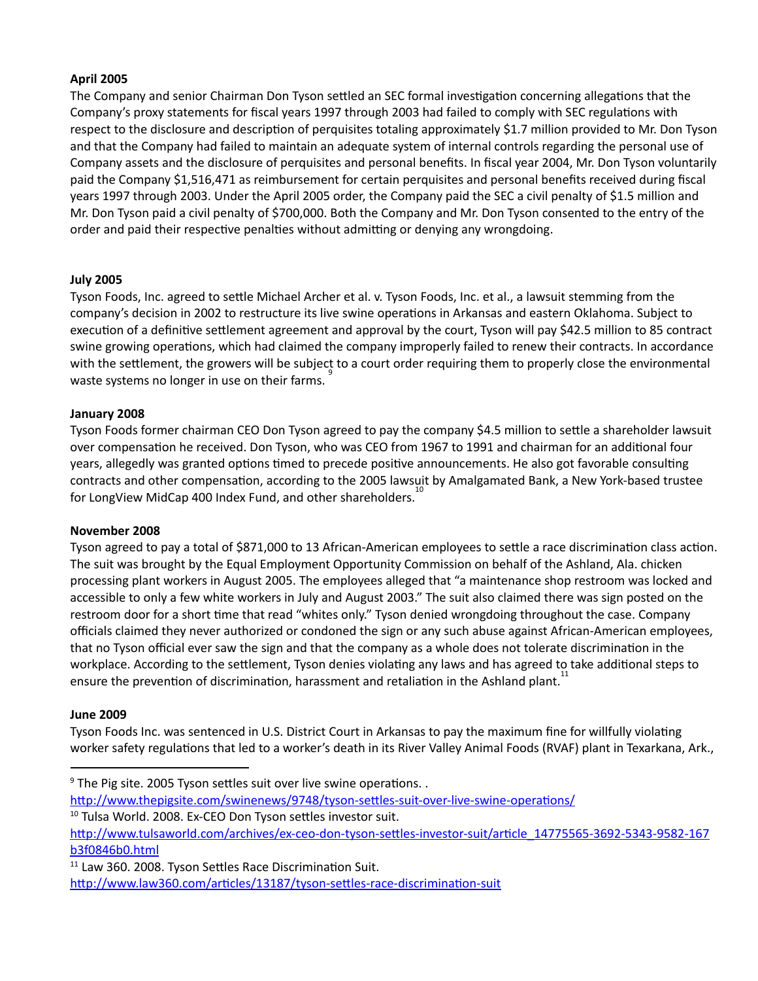### **April 2005**

The Company and senior Chairman Don Tyson settled an SEC formal investigation concerning allegations that the Company's proxy statements for fiscal years 1997 through 2003 had failed to comply with SEC regulations with respect to the disclosure and description of perquisites totaling approximately \$1.7 million provided to Mr. Don Tyson and that the Company had failed to maintain an adequate system of internal controls regarding the personal use of Company assets and the disclosure of perquisites and personal benefits. In fiscal year 2004, Mr. Don Tyson voluntarily paid the Company \$1,516,471 as reimbursement for certain perquisites and personal benefits received during fiscal years 1997 through 2003. Under the April 2005 order, the Company paid the SEC a civil penalty of \$1.5 million and Mr. Don Tyson paid a civil penalty of \$700,000. Both the Company and Mr. Don Tyson consented to the entry of the order and paid their respective penalties without admitting or denying any wrongdoing.

#### **July 2005**

Tyson Foods, Inc. agreed to settle Michael Archer et al. v. Tyson Foods, Inc. et al., a lawsuit stemming from the company's decision in 2002 to restructure its live swine operations in Arkansas and eastern Oklahoma. Subject to execution of a definitive settlement agreement and approval by the court, Tyson will pay \$42.5 million to 85 contract swine growing operations, which had claimed the company improperly failed to renew their contracts. In accordance with the settlement, the growers will be subject to a court order requiring them to properly close the environmental waste systems no longer in use on their farms. 9

#### **January 2008**

Tyson Foods former chairman CEO Don Tyson agreed to pay the company \$4.5 million to settle a shareholder lawsuit over compensation he received. Don Tyson, who was CEO from 1967 to 1991 and chairman for an additional four years, allegedly was granted options timed to precede positive announcements. He also got favorable consulting contracts and other compensation, according to the 2005 lawsuit by Amalgamated Bank, a New York‐based trustee for LongView MidCap 400 Index Fund, and other shareholders.<sup>10</sup>

#### **November 2008**

Tyson agreed to pay a total of \$871,000 to 13 African-American employees to settle a race discrimination class action. The suit was brought by the Equal Employment Opportunity Commission on behalf of the Ashland, Ala. chicken processing plant workers in August 2005. The employees alleged that "a maintenance shop restroom was locked and accessible to only a few white workers in July and August 2003." The suit also claimed there was sign posted on the restroom door for a short time that read "whites only." Tyson denied wrongdoing throughout the case. Company officials claimed they never authorized or condoned the sign or any such abuse against African‐American employees, that no Tyson official ever saw the sign and that the company as a whole does not tolerate discrimination in the workplace. According to the settlement, Tyson denies violating any laws and has agreed to take additional steps to ensure the prevention of discrimination, harassment and retaliation in the Ashland plant.<sup>11</sup>

#### **June 2009**

Tyson Foods Inc. was sentenced in U.S. District Court in Arkansas to pay the maximum fine for willfully violating worker safety regulations that led to a worker's death in its River Valley Animal Foods (RVAF) plant in Texarkana, Ark.,

 $9$  The Pig site. 2005 Tyson settles suit over live swine operations. .

http://www.thepigsite.com/swinenews/9748/tyson-settles-suit-over-live-swine-operations/ <sup>10</sup> Tulsa World. 2008. Ex-CEO Don Tyson settles investor suit.

http://www.tulsaworld.com/archives/ex-ceo-don-tyson-settles-investor-suit/article\_14775565-3692-5343-9582-167 [b3f0846b0.html](http://www.tulsaworld.com/archives/ex-ceo-don-tyson-settles-investor-suit/article_14775565-3692-5343-9582-167b3f0846b0.html)

<sup>&</sup>lt;sup>11</sup> Law 360. 2008. Tyson Settles Race Discrimination Suit. http://www.law360.com/articles/13187/tyson-settles-race-discrimination-suit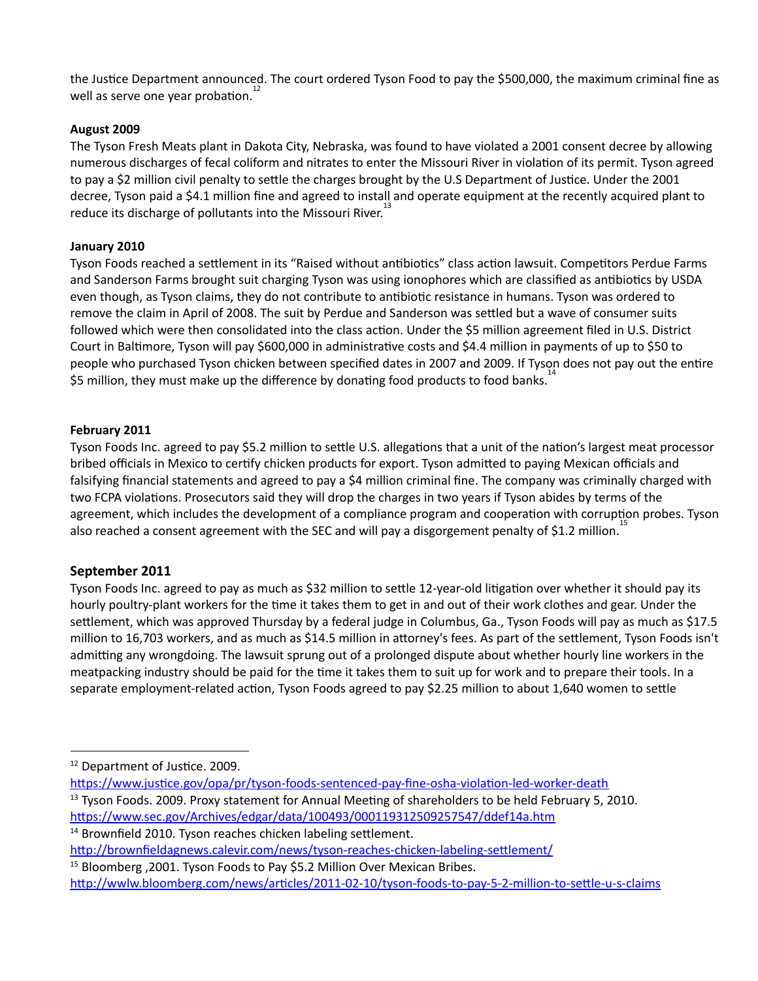the Jusce Department announced. The court ordered Tyson Food to pay the \$500,000, the maximum criminal fine as 12 well as serve one year probation.

## **August 2009**

The Tyson Fresh Meats plant in Dakota City, Nebraska, was found to have violated a 2001 consent decree by allowing numerous discharges of fecal coliform and nitrates to enter the Missouri River in violation of its permit. Tyson agreed to pay a \$2 million civil penalty to settle the charges brought by the U.S Department of Justice. Under the 2001 decree, Tyson paid a \$4.1 million fine and agreed to install and operate equipment at the recently acquired plant to reduce its discharge of pollutants into the Missouri River.<sup>13</sup>

### **January 2010**

Tyson Foods reached a settlement in its "Raised without antibiotics" class action lawsuit. Competitors Perdue Farms and Sanderson Farms brought suit charging Tyson was using ionophores which are classified as antibiotics by USDA even though, as Tyson claims, they do not contribute to antibiotic resistance in humans. Tyson was ordered to remove the claim in April of 2008. The suit by Perdue and Sanderson was settled but a wave of consumer suits followed which were then consolidated into the class action. Under the \$5 million agreement filed in U.S. District Court in Baltimore, Tyson will pay \$600,000 in administrative costs and \$4.4 million in payments of up to \$50 to people who purchased Tyson chicken between specified dates in 2007 and 2009. If Tyson does not pay out the entire  $\stackrel{\cdot}{\mathsf{S}}$ 5 million, they must make up the difference by donating food products to food banks.<sup>14</sup>

#### **February 2011**

Tyson Foods Inc. agreed to pay \$5.2 million to settle U.S. allegations that a unit of the nation's largest meat processor bribed officials in Mexico to certify chicken products for export. Tyson admitted to paying Mexican officials and falsifying financial statements and agreed to pay a \$4 million criminal fine. The company was criminally charged with two FCPA violations. Prosecutors said they will drop the charges in two years if Tyson abides by terms of the agreement, which includes the development of a compliance program and cooperation with corruption probes. Tyson also reached a consent agreement with the SEC and will pay a disgorgement penalty of \$1.2 million.<sup>15</sup>

## **September 2011**

Tyson Foods Inc. agreed to pay as much as \$32 million to settle 12-year-old litigation over whether it should pay its hourly poultry-plant workers for the time it takes them to get in and out of their work clothes and gear. Under the settlement, which was approved Thursday by a federal judge in Columbus, Ga., Tyson Foods will pay as much as \$17.5 million to 16,703 workers, and as much as \$14.5 million in attorney's fees. As part of the settlement, Tyson Foods isn't admitting any wrongdoing. The lawsuit sprung out of a prolonged dispute about whether hourly line workers in the meatpacking industry should be paid for the time it takes them to suit up for work and to prepare their tools. In a separate employment-related action, Tyson Foods agreed to pay \$2.25 million to about 1,640 women to settle

- https://www.justice.gov/opa/pr/tyson-foods-sentenced-pay-fine-osha-violation-led-worker-death
- $13$  Tyson Foods. 2009. Proxy statement for Annual Meeting of shareholders to be held February 5, 2010. https://www.sec.gov/Archives/edgar/data/100493/000119312509257547/ddef14a.htm

 $14$  Brownfield 2010. Tyson reaches chicken labeling settlement.

<sup>&</sup>lt;sup>12</sup> Department of Justice. 2009.

http://brownfieldagnews.calevir.com/news/tyson-reaches-chicken-labeling-settlement/

<sup>&</sup>lt;sup>15</sup> Bloomberg, 2001. Tyson Foods to Pay \$5.2 Million Over Mexican Bribes.

http://wwlw.bloomberg.com/news/articles/2011-02-10/tyson-foods-to-pay-5-2-million-to-settle-u-s-claims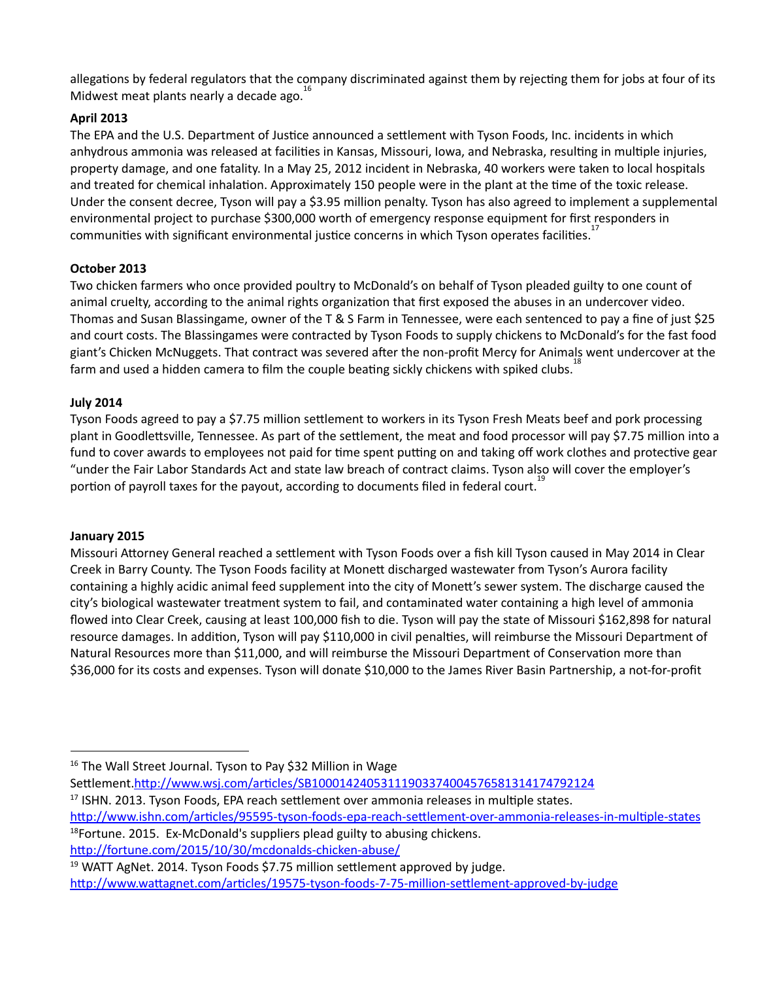allegations by federal regulators that the company discriminated against them by rejecting them for jobs at four of its Midwest meat plants nearly a decade ago.<sup>16</sup>

## **April 2013**

The EPA and the U.S. Department of Justice announced a settlement with Tyson Foods, Inc. incidents in which anhydrous ammonia was released at facilities in Kansas, Missouri, Iowa, and Nebraska, resulting in multiple injuries, property damage, and one fatality. In a May 25, 2012 incident in Nebraska, 40 workers were taken to local hospitals and treated for chemical inhalation. Approximately 150 people were in the plant at the time of the toxic release. Under the consent decree, Tyson will pay a \$3.95 million penalty. Tyson has also agreed to implement a supplemental environmental project to purchase \$300,000 worth of emergency response equipment for first responders in communities with significant environmental justice concerns in which Tyson operates facilities. 17

## **October 2013**

Two chicken farmers who once provided poultry to McDonald's on behalf of Tyson pleaded guilty to one count of animal cruelty, according to the animal rights organization that first exposed the abuses in an undercover video. Thomas and Susan Blassingame, owner of the T & S Farm in Tennessee, were each sentenced to pay a fine of just \$25 and court costs. The Blassingames were contracted by Tyson Foods to supply chickens to McDonald's for the fast food giant's Chicken McNuggets. That contract was severed after the non-profit Mercy for Animals went undercover at the  $\frac{1}{5}$  farm and used a hidden camera to film the couple beating sickly chickens with spiked clubs.<sup>18</sup>

## **July 2014**

Tyson Foods agreed to pay a \$7.75 million settlement to workers in its Tyson Fresh Meats beef and pork processing plant in Goodlettsville, Tennessee. As part of the settlement, the meat and food processor will pay \$7.75 million into a fund to cover awards to employees not paid for time spent putting on and taking off work clothes and protective gear "under the Fair Labor Standards Act and state law breach of contract claims. Tyson also will cover the employer's portion of payroll taxes for the payout, according to documents filed in federal court.<sup>19</sup>

## **January 2015**

Missouri Attorney General reached a settlement with Tyson Foods over a fish kill Tyson caused in May 2014 in Clear Creek in Barry County. The Tyson Foods facility at Monett discharged wastewater from Tyson's Aurora facility containing a highly acidic animal feed supplement into the city of Monett's sewer system. The discharge caused the city's biological wastewater treatment system to fail, and contaminated water containing a high level of ammonia flowed into Clear Creek, causing at least 100,000 fish to die. Tyson will pay the state of Missouri \$162,898 for natural resource damages. In addition, Tyson will pay \$110,000 in civil penalties, will reimburse the Missouri Department of Natural Resources more than \$11,000, and will reimburse the Missouri Department of Conservation more than \$36,000 for its costs and expenses. Tyson will donate \$10,000 to the James River Basin Partnership, a not‐for‐profit

Settlement.http://www.wsj.com/articles/SB10001424053111903374004576581314174792124

<sup>19</sup> WATT AgNet. 2014. Tyson Foods \$7.75 million settlement approved by judge.

<sup>&</sup>lt;sup>16</sup> The Wall Street Journal. Tyson to Pay \$32 Million in Wage

<sup>&</sup>lt;sup>17</sup> ISHN. 2013. Tyson Foods, EPA reach settlement over ammonia releases in multiple states.

http://www.ishn.com/articles/95595‐tyson‐foods‐epa‐reach‐settlement‐over‐ammonia‐releases‐in‐multiple‐states  $18$ Fortune. 2015. Ex-McDonald's suppliers plead guilty to abusing chickens. http://fortune.com/2015/10/30/mcdonalds-chicken-abuse/

http://www.wattagnet.com/articles/19575‐tyson‐foods‐7‐75‐million‐settlement‐approved‐by‐judge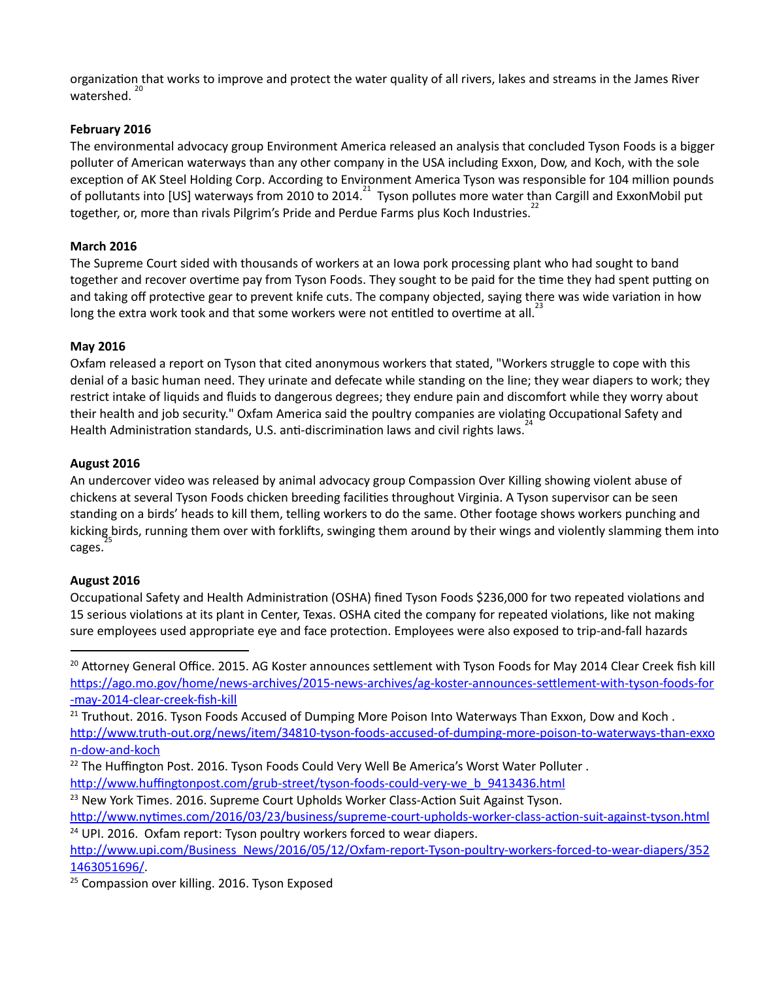organization that works to improve and protect the water quality of all rivers, lakes and streams in the James River watershed. 20

## **February 2016**

The environmental advocacy group Environment America released an analysis that concluded Tyson Foods is a bigger polluter of American waterways than any other company in the USA including Exxon, Dow, and Koch, with the sole exception of AK Steel Holding Corp. According to Environment America Tyson was responsible for 104 million pounds of pollutants into [US] waterways from 2010 to 2014.<sup>21</sup> Tyson pollutes more water than Cargill and ExxonMobil put together, or, more than rivals Pilgrim's Pride and Perdue Farms plus Koch Industries. 22

## **March 2016**

The Supreme Court sided with thousands of workers at an Iowa pork processing plant who had sought to band together and recover overtime pay from Tyson Foods. They sought to be paid for the time they had spent putting on and taking off protective gear to prevent knife cuts. The company objected, saying there was wide variation in how long the extra work took and that some workers were not entitled to overtime at all.<sup>23</sup>

## **May 2016**

Oxfam released a report on Tyson that cited anonymous workers that stated, "Workers struggle to cope with this denial of a basic human need. They urinate and defecate while standing on the line; they wear diapers to work; they restrict intake of liquids and fluids to dangerous degrees; they endure pain and discomfort while they worry about their health and job security." Oxfam America said the poultry companies are violating Occupational Safety and Health Administration standards, U.S. anti-discrimination laws and civil rights laws.<sup>24</sup>

## **August 2016**

An undercover video was released by animal advocacy group Compassion Over Killing showing violent abuse of chickens at several Tyson Foods chicken breeding facilities throughout Virginia. A Tyson supervisor can be seen standing on a birds' heads to kill them, telling workers to do the same. Other footage shows workers punching and kicking birds, running them over with forklifts, swinging them around by their wings and violently slamming them into cages.

## **August 2016**

Occupational Safety and Health Administration (OSHA) fined Tyson Foods \$236,000 for two repeated violations and 15 serious violations at its plant in Center, Texas. OSHA cited the company for repeated violations, like not making sure employees used appropriate eye and face protection. Employees were also exposed to trip-and-fall hazards

<sup>20</sup> Attorney General Office. 2015. AG Koster announces settlement with Tyson Foods for May 2014 Clear Creek fish kill https://ago.mo.gov/home/news-archives/2015-news-archives/ag-koster-announces-settlement-with-tyson-foods-for [‐may‐2014‐clear‐creek‐fish‐kill](https://ago.mo.gov/home/news-archives/2015-news-archives/ag-koster-announces-settlement-with-tyson-foods-for-may-2014-clear-creek-fish-kill)

<sup>21</sup> Truthout. 2016. Tyson Foods Accused of Dumping More Poison Into Waterways Than Exxon, Dow and Koch. http://www.truth-out.org/news/item/34810-tyson-foods-accused-of-dumping-more-poison-to-waterways-than-exxo [n‐dow‐and‐koch](http://www.truth-out.org/news/item/34810-tyson-foods-accused-of-dumping-more-poison-to-waterways-than-exxon-dow-and-koch)

 $22$  The Huffington Post. 2016. Tyson Foods Could Very Well Be America's Worst Water Polluter.

http://www.huffingtonpost.com/grub-street/tyson-foods-could-very-we\_b\_9413436.html

 $23$  New York Times. 2016. Supreme Court Upholds Worker Class-Action Suit Against Tyson.

http://www.nytimes.com/2016/03/23/business/supreme-court-upholds-worker-class-action-suit-against-tyson.html <sup>24</sup> UPI. 2016. Oxfam report: Tyson poultry workers forced to wear diapers.

http://www.upi.com/Business\_News/2016/05/12/Oxfam-report-Tyson-poultry-workers-forced-to-wear-diapers/352 [1463051696/.](http://www.upi.com/Business_News/2016/05/12/Oxfam-report-Tyson-poultry-workers-forced-to-wear-diapers/3521463051696/)

<sup>25</sup> Compassion over killing. 2016. Tyson Exposed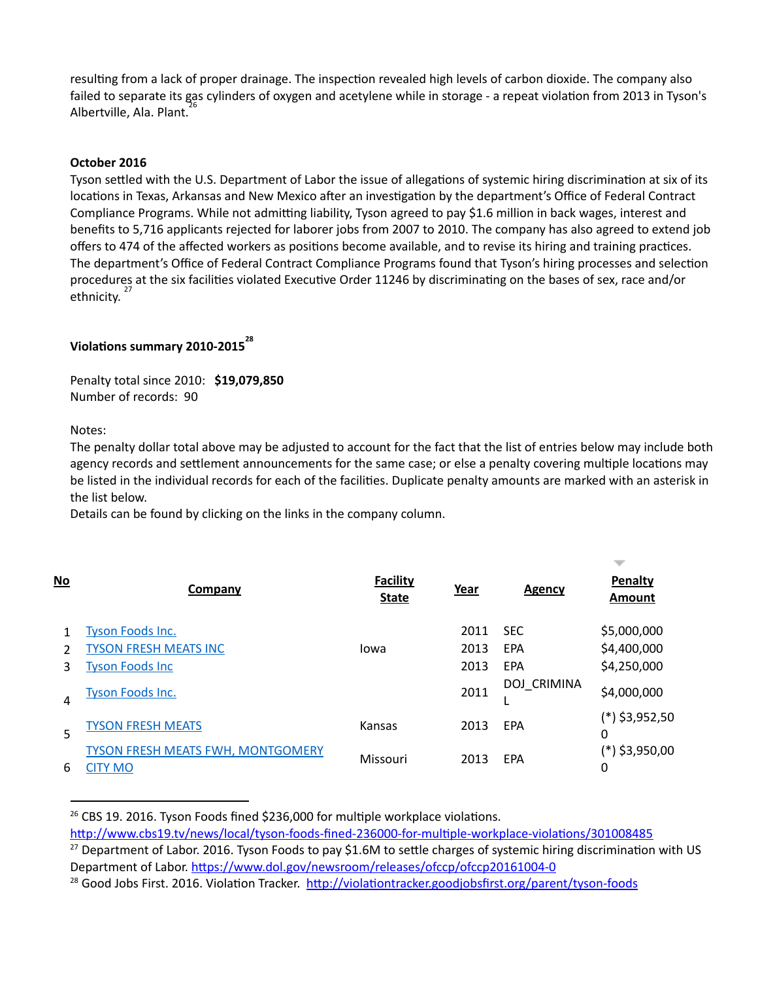resulting from a lack of proper drainage. The inspection revealed high levels of carbon dioxide. The company also failed to separate its gas cylinders of oxygen and acetylene while in storage - a repeat violation from 2013 in Tyson's <sup>26</sup> Albertville, Ala. Plant.

#### **October 2016**

Tyson settled with the U.S. Department of Labor the issue of allegations of systemic hiring discrimination at six of its locations in Texas, Arkansas and New Mexico after an investigation by the department's Office of Federal Contract Compliance Programs. While not admitting liability, Tyson agreed to pay \$1.6 million in back wages, interest and benefits to 5,716 applicants rejected for laborer jobs from 2007 to 2010. The company has also agreed to extend job offers to 474 of the affected workers as positions become available, and to revise its hiring and training practices. The department's Office of Federal Contract Compliance Programs found that Tyson's hiring processes and selection procedures at the six facilities violated Executive Order 11246 by discriminating on the bases of sex, race and/or ethnicity. 27

# **Violaons summary 2010‐2015 28**

Penalty total since 2010: **\$19,079,850** Number of records: 90

Notes:

The penalty dollar total above may be adjusted to account for the fact that the list of entries below may include both agency records and settlement announcements for the same case; or else a penalty covering multiple locations may be listed in the individual records for each of the facilities. Duplicate penalty amounts are marked with an asterisk in the list below.

Details can be found by clicking on the links in the company column.

| $No$ | Company                                                    | <b>Facility</b><br><b>State</b> | Year | <b>Agency</b> | Penalty<br>Amount     |
|------|------------------------------------------------------------|---------------------------------|------|---------------|-----------------------|
|      | <b>Tyson Foods Inc.</b>                                    |                                 | 2011 | <b>SEC</b>    | \$5,000,000           |
|      | <b>TYSON FRESH MEATS INC</b>                               | Iowa                            | 2013 | EPA           | \$4,400,000           |
| 3    | <b>Tyson Foods Inc</b>                                     |                                 | 2013 | EPA           | \$4,250,000           |
| 4    | <b>Tyson Foods Inc.</b>                                    |                                 | 2011 | DOJ CRIMINA   | \$4,000,000           |
| 5    | TYSON FRESH MEATS                                          | Kansas                          | 2013 | EPA           | (*) \$3,952,50<br>0   |
| 6    | <b>TYSON FRESH MEATS FWH. MONTGOMERY</b><br><b>CITY MO</b> | Missouri                        | 2013 | EPA           | $(*)$ \$3,950,00<br>0 |

<sup>&</sup>lt;sup>26</sup> CBS 19. 2016. Tyson Foods fined \$236,000 for multiple workplace violations.

http://www.cbs19.tv/news/local/tyson-foods-fined-236000-for-multiple-workplace-violations/301008485

<sup>&</sup>lt;sup>27</sup> Department of Labor. 2016. Tyson Foods to pay \$1.6M to settle charges of systemic hiring discrimination with US Department of Labor. https://www.dol.gov/newsroom/releases/ofccp/ofccp20161004-0

 $^{28}$  Good Jobs First. 2016. Violation Tracker. http://violationtracker.goodjobsfirst.org/parent/tyson-foods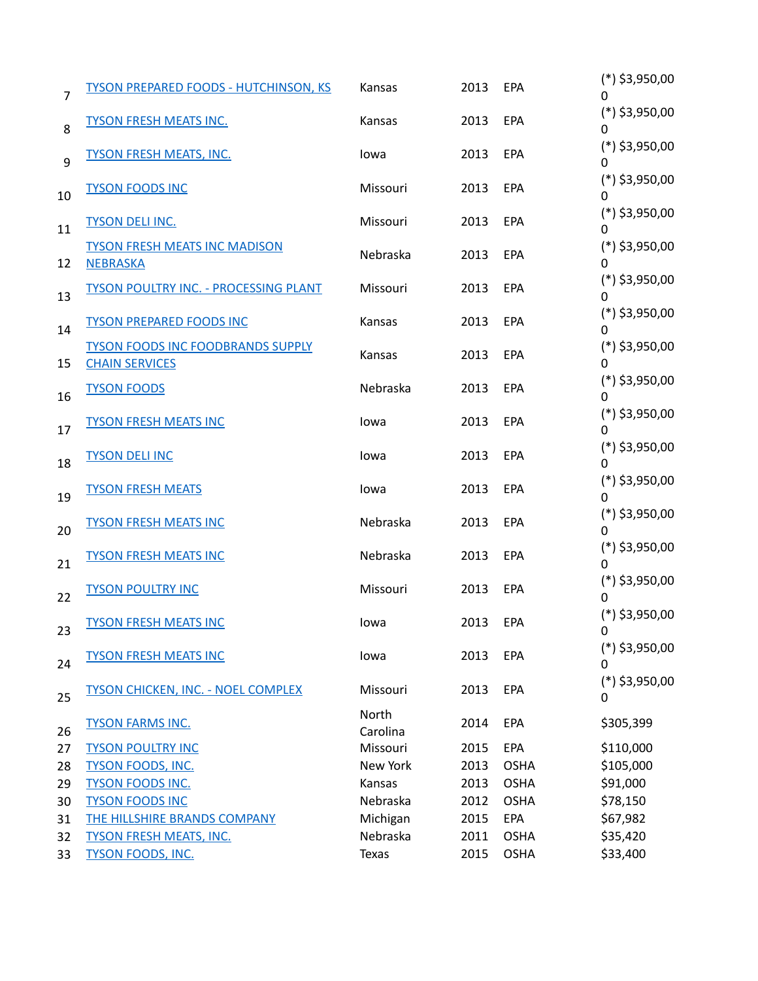| $\overline{7}$ | <b>TYSON PREPARED FOODS - HUTCHINSON, KS</b>                      | Kansas            | 2013 | EPA         | $(*)$ \$3,950,00<br>0 |
|----------------|-------------------------------------------------------------------|-------------------|------|-------------|-----------------------|
| 8              | <b>TYSON FRESH MEATS INC.</b>                                     | Kansas            | 2013 | EPA         | $(*)$ \$3,950,00<br>0 |
| 9              | <b>TYSON FRESH MEATS, INC.</b>                                    | lowa              | 2013 | EPA         | $(*)$ \$3,950,00<br>0 |
| 10             | <b>TYSON FOODS INC</b>                                            | Missouri          | 2013 | EPA         | $(*)$ \$3,950,00<br>0 |
| 11             | <b>TYSON DELI INC.</b>                                            | Missouri          | 2013 | EPA         | $(*)$ \$3,950,00<br>0 |
| 12             | <b>TYSON FRESH MEATS INC MADISON</b><br><b>NEBRASKA</b>           | Nebraska          | 2013 | EPA         | $(*)$ \$3,950,00<br>0 |
| 13             | <b>TYSON POULTRY INC. - PROCESSING PLANT</b>                      | Missouri          | 2013 | EPA         | $(*)$ \$3,950,00<br>0 |
| 14             | <b>TYSON PREPARED FOODS INC</b>                                   | Kansas            | 2013 | EPA         | $(*)$ \$3,950,00<br>0 |
| 15             | <b>TYSON FOODS INC FOODBRANDS SUPPLY</b><br><b>CHAIN SERVICES</b> | Kansas            | 2013 | EPA         | $(*)$ \$3,950,00<br>0 |
| 16             | <b>TYSON FOODS</b>                                                | Nebraska          | 2013 | EPA         | $(*)$ \$3,950,00<br>0 |
| 17             | <b>TYSON FRESH MEATS INC</b>                                      | lowa              | 2013 | EPA         | $(*)$ \$3,950,00<br>0 |
| 18             | <b>TYSON DELI INC</b>                                             | lowa              | 2013 | EPA         | $(*)$ \$3,950,00<br>0 |
| 19             | <b>TYSON FRESH MEATS</b>                                          | lowa              | 2013 | EPA         | $(*)$ \$3,950,00<br>0 |
| 20             | <b>TYSON FRESH MEATS INC</b>                                      | Nebraska          | 2013 | EPA         | $(*)$ \$3,950,00<br>0 |
| 21             | <b>TYSON FRESH MEATS INC</b>                                      | Nebraska          | 2013 | EPA         | $(*)$ \$3,950,00<br>0 |
| 22             | <b>TYSON POULTRY INC</b>                                          | Missouri          | 2013 | EPA         | $(*)$ \$3,950,00<br>0 |
| 23             | <b>TYSON FRESH MEATS INC</b>                                      | lowa              | 2013 | EPA         | $(*)$ \$3,950,00<br>0 |
| 24             | <b>TYSON FRESH MEATS INC</b>                                      | lowa              | 2013 | EPA         | $(*)$ \$3,950,00<br>0 |
| 25             | <b>TYSON CHICKEN, INC. - NOEL COMPLEX</b>                         | Missouri          | 2013 | EPA         | $(*)$ \$3,950,00<br>0 |
| 26             | <b>TYSON FARMS INC.</b>                                           | North<br>Carolina | 2014 | EPA         | \$305,399             |
| 27             | <b>TYSON POULTRY INC</b>                                          | Missouri          | 2015 | EPA         | \$110,000             |
| 28             | <b>TYSON FOODS, INC.</b>                                          | New York          | 2013 | <b>OSHA</b> | \$105,000             |
| 29             | <b>TYSON FOODS INC.</b>                                           | Kansas            | 2013 | <b>OSHA</b> | \$91,000              |
| 30             | <b>TYSON FOODS INC</b>                                            | Nebraska          | 2012 | <b>OSHA</b> | \$78,150              |
| 31             | <b>THE HILLSHIRE BRANDS COMPANY</b>                               | Michigan          | 2015 | EPA         | \$67,982              |
| 32             | <b>TYSON FRESH MEATS, INC.</b>                                    | Nebraska          | 2011 | <b>OSHA</b> | \$35,420              |
| 33             | <b>TYSON FOODS, INC.</b>                                          | Texas             | 2015 | OSHA        | \$33,400              |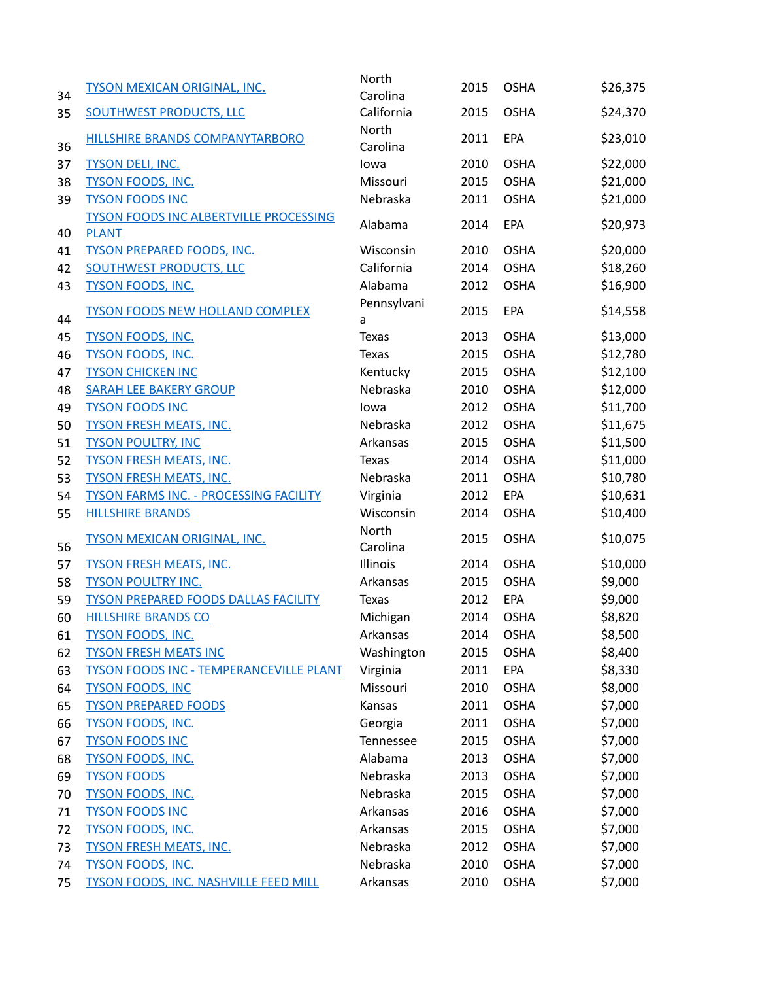| 34 | <b>TYSON MEXICAN ORIGINAL, INC.</b>            | North<br>Carolina | 2015 | <b>OSHA</b> | \$26,375 |
|----|------------------------------------------------|-------------------|------|-------------|----------|
| 35 | <b>SOUTHWEST PRODUCTS, LLC</b>                 | California        | 2015 | <b>OSHA</b> | \$24,370 |
| 36 | HILLSHIRE BRANDS COMPANYTARBORO                | North<br>Carolina | 2011 | <b>EPA</b>  | \$23,010 |
| 37 | <b>TYSON DELI, INC.</b>                        | lowa              | 2010 | <b>OSHA</b> | \$22,000 |
| 38 | <b>TYSON FOODS, INC.</b>                       | Missouri          | 2015 | <b>OSHA</b> | \$21,000 |
| 39 | <b>TYSON FOODS INC</b>                         | Nebraska          | 2011 | <b>OSHA</b> | \$21,000 |
|    | <b>TYSON FOODS INC ALBERTVILLE PROCESSING</b>  |                   |      |             |          |
| 40 | <b>PLANT</b>                                   | Alabama           | 2014 | <b>EPA</b>  | \$20,973 |
| 41 | <b>TYSON PREPARED FOODS, INC.</b>              | Wisconsin         | 2010 | <b>OSHA</b> | \$20,000 |
| 42 | <b>SOUTHWEST PRODUCTS, LLC</b>                 | California        | 2014 | <b>OSHA</b> | \$18,260 |
| 43 | <b>TYSON FOODS, INC.</b>                       | Alabama           | 2012 | <b>OSHA</b> | \$16,900 |
| 44 | <b>TYSON FOODS NEW HOLLAND COMPLEX</b>         | Pennsylvani<br>a  | 2015 | EPA         | \$14,558 |
| 45 | <b>TYSON FOODS, INC.</b>                       | <b>Texas</b>      | 2013 | <b>OSHA</b> | \$13,000 |
| 46 | <b>TYSON FOODS, INC.</b>                       | <b>Texas</b>      | 2015 | <b>OSHA</b> | \$12,780 |
| 47 | <b>TYSON CHICKEN INC</b>                       | Kentucky          | 2015 | <b>OSHA</b> | \$12,100 |
| 48 | <b>SARAH LEE BAKERY GROUP</b>                  | Nebraska          | 2010 | <b>OSHA</b> | \$12,000 |
| 49 | <b>TYSON FOODS INC</b>                         | lowa              | 2012 | <b>OSHA</b> | \$11,700 |
| 50 | <b>TYSON FRESH MEATS, INC.</b>                 | Nebraska          | 2012 | <b>OSHA</b> | \$11,675 |
| 51 | <b>TYSON POULTRY, INC</b>                      | Arkansas          | 2015 | <b>OSHA</b> | \$11,500 |
| 52 | <b>TYSON FRESH MEATS, INC.</b>                 | Texas             | 2014 | <b>OSHA</b> | \$11,000 |
| 53 | <b>TYSON FRESH MEATS, INC.</b>                 | Nebraska          | 2011 | <b>OSHA</b> | \$10,780 |
| 54 | <b>TYSON FARMS INC. - PROCESSING FACILITY</b>  | Virginia          | 2012 | EPA         | \$10,631 |
| 55 | <b>HILLSHIRE BRANDS</b>                        | Wisconsin         | 2014 | <b>OSHA</b> | \$10,400 |
| 56 | <b>TYSON MEXICAN ORIGINAL, INC.</b>            | North<br>Carolina | 2015 | <b>OSHA</b> | \$10,075 |
| 57 | <b>TYSON FRESH MEATS, INC.</b>                 | Illinois          | 2014 | <b>OSHA</b> | \$10,000 |
| 58 | <b>TYSON POULTRY INC.</b>                      | Arkansas          | 2015 | <b>OSHA</b> | \$9,000  |
| 59 | <b>TYSON PREPARED FOODS DALLAS FACILITY</b>    | <b>Texas</b>      | 2012 | EPA         | \$9,000  |
| 60 | <b>HILLSHIRE BRANDS CO</b>                     | Michigan          | 2014 | <b>OSHA</b> | \$8,820  |
| 61 | <b>TYSON FOODS, INC.</b>                       | Arkansas          | 2014 | <b>OSHA</b> | \$8,500  |
| 62 | <b>TYSON FRESH MEATS INC</b>                   | Washington        | 2015 | <b>OSHA</b> | \$8,400  |
| 63 | <b>TYSON FOODS INC - TEMPERANCEVILLE PLANT</b> | Virginia          | 2011 | EPA         | \$8,330  |
| 64 | <b>TYSON FOODS, INC</b>                        | Missouri          | 2010 | <b>OSHA</b> | \$8,000  |
| 65 | <b>TYSON PREPARED FOODS</b>                    | Kansas            | 2011 | <b>OSHA</b> | \$7,000  |
| 66 | <b>TYSON FOODS, INC.</b>                       | Georgia           | 2011 | <b>OSHA</b> | \$7,000  |
| 67 | <b>TYSON FOODS INC</b>                         | Tennessee         | 2015 | <b>OSHA</b> | \$7,000  |
| 68 | <b>TYSON FOODS, INC.</b>                       | Alabama           | 2013 | <b>OSHA</b> | \$7,000  |
| 69 | <b>TYSON FOODS</b>                             | Nebraska          | 2013 | <b>OSHA</b> | \$7,000  |
| 70 | <b>TYSON FOODS, INC.</b>                       | Nebraska          | 2015 | <b>OSHA</b> | \$7,000  |
| 71 | <b>TYSON FOODS INC</b>                         | Arkansas          | 2016 | <b>OSHA</b> | \$7,000  |
| 72 | <b>TYSON FOODS, INC.</b>                       | Arkansas          | 2015 | <b>OSHA</b> | \$7,000  |
| 73 | <b>TYSON FRESH MEATS, INC.</b>                 | Nebraska          | 2012 | <b>OSHA</b> | \$7,000  |
| 74 | <b>TYSON FOODS, INC.</b>                       | Nebraska          | 2010 | <b>OSHA</b> | \$7,000  |
| 75 | <b>TYSON FOODS, INC. NASHVILLE FEED MILL</b>   | Arkansas          | 2010 | <b>OSHA</b> | \$7,000  |